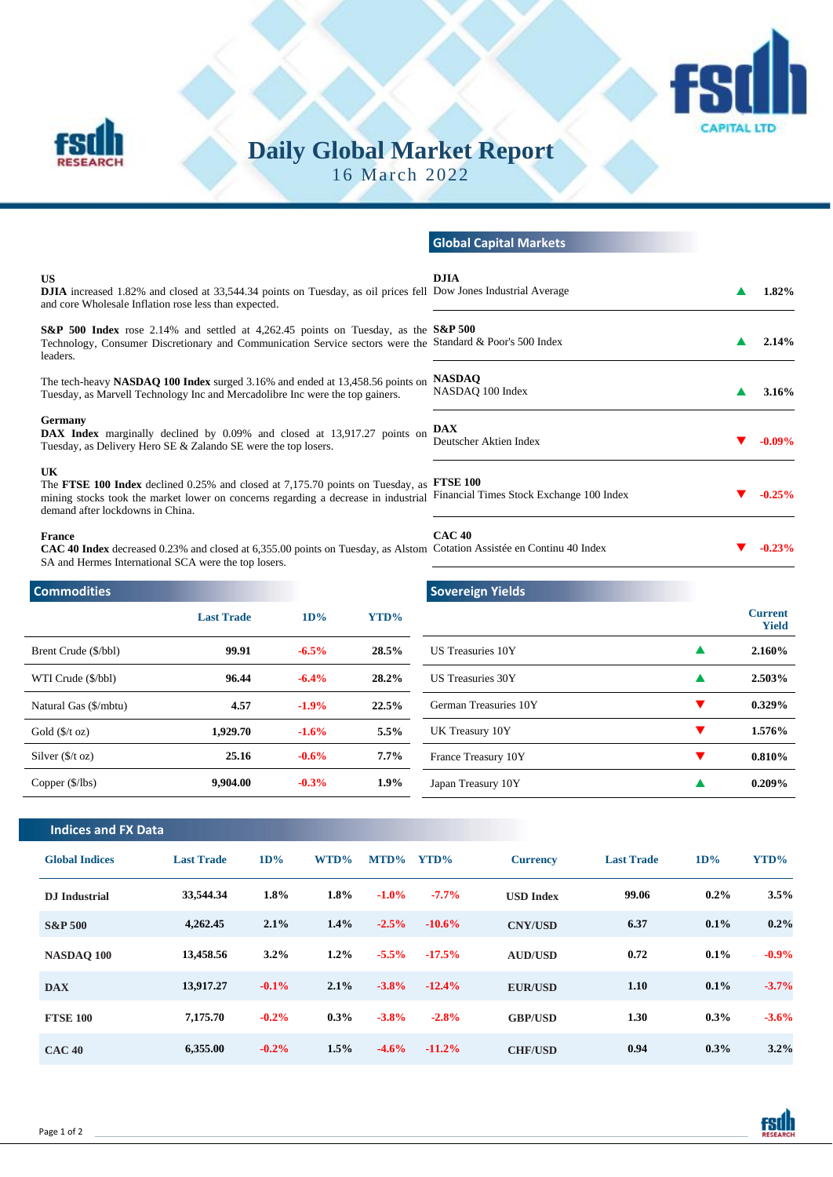

# **Daily Global Market Report**

16 March 2022

|                                                                                                                                                                                                                       |                   |         |                                                                                                                                | <b>Global Capital Markets</b>                                                                                                   |       |                                |
|-----------------------------------------------------------------------------------------------------------------------------------------------------------------------------------------------------------------------|-------------------|---------|--------------------------------------------------------------------------------------------------------------------------------|---------------------------------------------------------------------------------------------------------------------------------|-------|--------------------------------|
| <b>US</b><br>and core Wholesale Inflation rose less than expected.                                                                                                                                                    |                   |         | <b>DJIA</b><br>DJIA increased 1.82% and closed at 33,544.34 points on Tuesday, as oil prices fell Dow Jones Industrial Average |                                                                                                                                 | 1.82% |                                |
| S&P 500 Index rose 2.14% and settled at 4,262.45 points on Tuesday, as the S&P 500<br>leaders.                                                                                                                        |                   |         | Technology, Consumer Discretionary and Communication Service sectors were the Standard & Poor's 500 Index                      |                                                                                                                                 | 2.14% |                                |
| The tech-heavy NASDAO 100 Index surged 3.16% and ended at 13,458.56 points on<br>Tuesday, as Marvell Technology Inc and Mercadolibre Inc were the top gainers.                                                        |                   |         | <b>NASDAO</b><br>NASDAQ 100 Index                                                                                              |                                                                                                                                 | 3.16% |                                |
| <b>Germany</b><br><b>DAX Index</b> marginally declined by 0.09% and closed at 13,917.27 points on<br>Tuesday, as Delivery Hero SE & Zalando SE were the top losers.                                                   |                   |         | <b>DAX</b><br>Deutscher Aktien Index                                                                                           | $-0.09\%$                                                                                                                       |       |                                |
| <b>UK</b><br>The FTSE 100 Index declined 0.25% and closed at 7,175.70 points on Tuesday, as<br>mining stocks took the market lower on concerns regarding a decrease in industrial<br>demand after lockdowns in China. |                   |         |                                                                                                                                | <b>FTSE 100</b><br>Financial Times Stock Exchange 100 Index                                                                     |       | $-0.25%$                       |
| France<br>SA and Hermes International SCA were the top losers.                                                                                                                                                        |                   |         |                                                                                                                                | CAC40<br>CAC 40 Index decreased 0.23% and closed at 6,355.00 points on Tuesday, as Alstom Cotation Assistée en Continu 40 Index |       | $-0.23%$                       |
| <b>Commodities</b>                                                                                                                                                                                                    |                   |         |                                                                                                                                | <b>Sovereign Yields</b>                                                                                                         |       |                                |
|                                                                                                                                                                                                                       | <b>Last Trade</b> | 1D%     | YTD%                                                                                                                           |                                                                                                                                 |       | <b>Current</b><br><b>Yield</b> |
| Brent Crude (\$/bbl)                                                                                                                                                                                                  | 99.91             | $-6.5%$ | 28.5%                                                                                                                          | <b>US Treasuries 10Y</b>                                                                                                        | ▲     | 2.160%                         |
| WTI Crude (\$/bbl)                                                                                                                                                                                                    | 96.44             | $-6.4%$ | 28.2%                                                                                                                          | <b>US Treasuries 30Y</b>                                                                                                        |       | 2.503%                         |
| Natural Gas (\$/mbtu)                                                                                                                                                                                                 | 4.57              | $-1.9%$ | 22.5%                                                                                                                          | German Treasuries 10Y                                                                                                           |       | 0.329%                         |

**Indices and FX Data**

**RESEARCH** 

Gold (\$/t oz) **1,929.70 -1.6% 5.5%** Silver (\$/t oz) **25.16 -0.6% 7.7%** Copper (\$/lbs) **9,904.00 -0.3% 1.9%**

| <b>Global Indices</b> | <b>Last Trade</b> | 1D%      | $WTD\%$ | $MTD\%$ | YTD%      | <b>Currency</b>  | <b>Last Trade</b> | 1D%     | YTD%    |
|-----------------------|-------------------|----------|---------|---------|-----------|------------------|-------------------|---------|---------|
| <b>D.I</b> Industrial | 33,544.34         | $1.8\%$  | 1.8%    | $-1.0%$ | $-7.7\%$  | <b>USD Index</b> | 99.06             | $0.2\%$ | 3.5%    |
| <b>S&amp;P 500</b>    | 4,262.45          | 2.1%     | 1.4%    | $-2.5%$ | $-10.6%$  | <b>CNY/USD</b>   | 6.37              | $0.1\%$ | $0.2\%$ |
| NASDAO 100            | 13,458.56         | $3.2\%$  | 1.2%    | $-5.5%$ | $-17.5%$  | <b>AUD/USD</b>   | 0.72              | $0.1\%$ | $-0.9%$ |
| <b>DAX</b>            | 13,917.27         | $-0.1\%$ | 2.1%    | $-3.8%$ | $-12.4%$  | <b>EUR/USD</b>   | 1.10              | $0.1\%$ | $-3.7%$ |
| <b>FTSE 100</b>       | 7,175.70          | $-0.2%$  | $0.3\%$ | $-3.8%$ | $-2.8%$   | <b>GBP/USD</b>   | 1.30              | $0.3\%$ | $-3.6%$ |
| <b>CAC 40</b>         | 6,355.00          | $-0.2\%$ | 1.5%    | $-4.6%$ | $-11.2\%$ | <b>CHF/USD</b>   | 0.94              | $0.3\%$ | 3.2%    |

UK Treasury 10Y **1.576%** France Treasury 10Y **1200 1200 1200 1200 1200 1200 1200 1200 1200 1200 1200 1200 1200 1200 1200 1200 1200 1200 1200 1200 1200 1200 1200 1200 1200 1200 1200 1200 1200** Japan Treasury 10Y **0.209%**